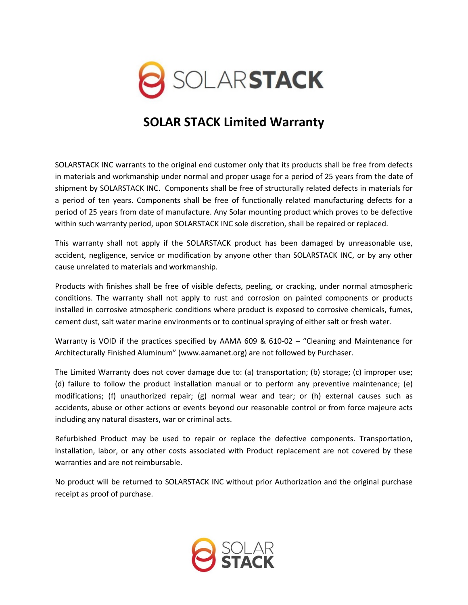

## **SOLAR STACK Limited Warranty**

SOLARSTACK INC warrants to the original end customer only that its products shall be free from defects in materials and workmanship under normal and proper usage for a period of 25 years from the date of shipment by SOLARSTACK INC. Components shall be free of structurally related defects in materials for a period of ten years. Components shall be free of functionally related manufacturing defects for a period of 25 years from date of manufacture. Any Solar mounting product which proves to be defective within such warranty period, upon SOLARSTACK INC sole discretion, shall be repaired or replaced.

This warranty shall not apply if the SOLARSTACK product has been damaged by unreasonable use, accident, negligence, service or modification by anyone other than SOLARSTACK INC, or by any other cause unrelated to materials and workmanship.

Products with finishes shall be free of visible defects, peeling, or cracking, under normal atmospheric conditions. The warranty shall not apply to rust and corrosion on painted components or products installed in corrosive atmospheric conditions where product is exposed to corrosive chemicals, fumes, cement dust, salt water marine environments or to continual spraying of either salt or fresh water.

Warranty is VOID if the practices specified by AAMA 609 & 610-02 – "Cleaning and Maintenance for Architecturally Finished Aluminum" (www.aamanet.org) are not followed by Purchaser.

The Limited Warranty does not cover damage due to: (a) transportation; (b) storage; (c) improper use; (d) failure to follow the product installation manual or to perform any preventive maintenance; (e) modifications; (f) unauthorized repair; (g) normal wear and tear; or (h) external causes such as accidents, abuse or other actions or events beyond our reasonable control or from force majeure acts including any natural disasters, war or criminal acts.

Refurbished Product may be used to repair or replace the defective components. Transportation, installation, labor, or any other costs associated with Product replacement are not covered by these warranties and are not reimbursable.

No product will be returned to SOLARSTACK INC without prior Authorization and the original purchase receipt as proof of purchase.